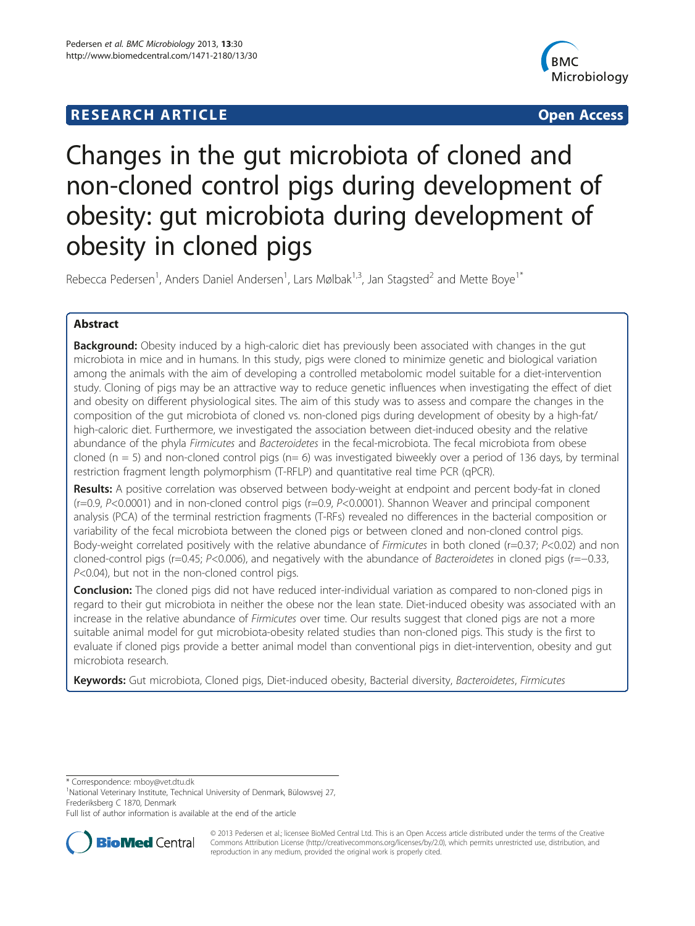# **RESEARCH ARTICLE Example 2014 CONSUMING A RESEARCH ARTICLE**



# Changes in the gut microbiota of cloned and non-cloned control pigs during development of obesity: gut microbiota during development of obesity in cloned pigs

Rebecca Pedersen<sup>1</sup>, Anders Daniel Andersen<sup>1</sup>, Lars Mølbak<sup>1,3</sup>, Jan Stagsted<sup>2</sup> and Mette Boye<sup>1\*</sup>

# Abstract

**Background:** Obesity induced by a high-caloric diet has previously been associated with changes in the gut microbiota in mice and in humans. In this study, pigs were cloned to minimize genetic and biological variation among the animals with the aim of developing a controlled metabolomic model suitable for a diet-intervention study. Cloning of pigs may be an attractive way to reduce genetic influences when investigating the effect of diet and obesity on different physiological sites. The aim of this study was to assess and compare the changes in the composition of the gut microbiota of cloned vs. non-cloned pigs during development of obesity by a high-fat/ high-caloric diet. Furthermore, we investigated the association between diet-induced obesity and the relative abundance of the phyla Firmicutes and Bacteroidetes in the fecal-microbiota. The fecal microbiota from obese cloned ( $n = 5$ ) and non-cloned control pigs ( $n = 6$ ) was investigated biweekly over a period of 136 days, by terminal restriction fragment length polymorphism (T-RFLP) and quantitative real time PCR (qPCR).

Results: A positive correlation was observed between body-weight at endpoint and percent body-fat in cloned (r=0.9, P<0.0001) and in non-cloned control pigs (r=0.9, P<0.0001). Shannon Weaver and principal component analysis (PCA) of the terminal restriction fragments (T-RFs) revealed no differences in the bacterial composition or variability of the fecal microbiota between the cloned pigs or between cloned and non-cloned control pigs. Body-weight correlated positively with the relative abundance of Firmicutes in both cloned (r=0.37; P<0.02) and non cloned-control pigs (r=0.45; P<0.006), and negatively with the abundance of Bacteroidetes in cloned pigs (r=−0.33, P<0.04), but not in the non-cloned control pigs.

**Conclusion:** The cloned pigs did not have reduced inter-individual variation as compared to non-cloned pigs in regard to their gut microbiota in neither the obese nor the lean state. Diet-induced obesity was associated with an increase in the relative abundance of Firmicutes over time. Our results suggest that cloned pigs are not a more suitable animal model for gut microbiota-obesity related studies than non-cloned pigs. This study is the first to evaluate if cloned pigs provide a better animal model than conventional pigs in diet-intervention, obesity and gut microbiota research.

Keywords: Gut microbiota, Cloned pigs, Diet-induced obesity, Bacterial diversity, Bacteroidetes, Firmicutes

\* Correspondence: [mboy@vet.dtu.dk](mailto:mboy@vet.dtu.dk) <sup>1</sup>

<sup>1</sup>National Veterinary Institute, Technical University of Denmark, Bülowsvej 27, Frederiksberg C 1870, Denmark

Full list of author information is available at the end of the article



© 2013 Pedersen et al.; licensee BioMed Central Ltd. This is an Open Access article distributed under the terms of the Creative Commons Attribution License [\(http://creativecommons.org/licenses/by/2.0\)](http://creativecommons.org/licenses/by/2.0), which permits unrestricted use, distribution, and reproduction in any medium, provided the original work is properly cited.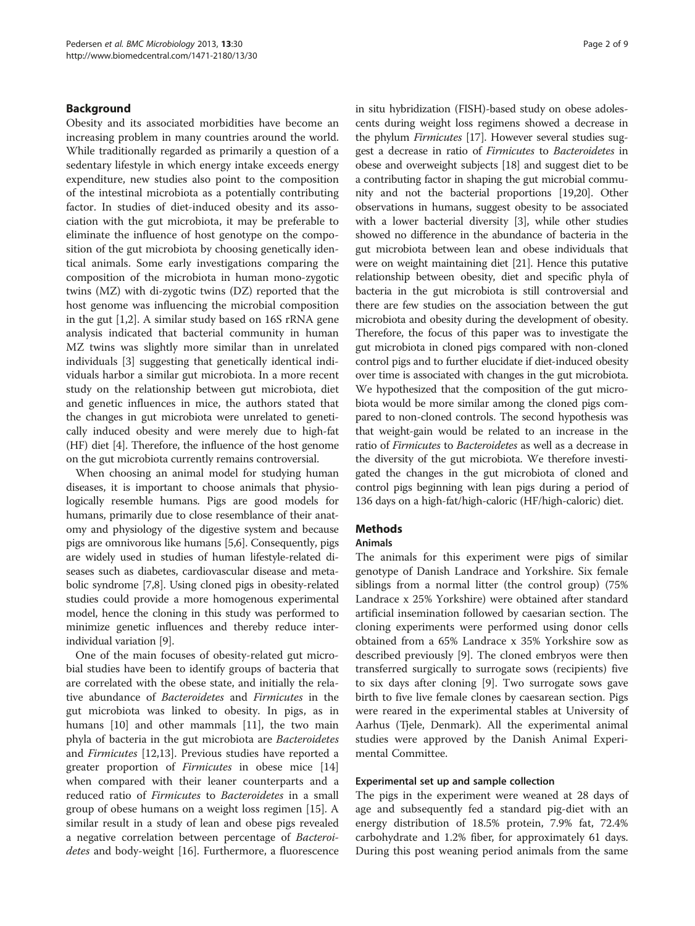#### Background

Obesity and its associated morbidities have become an increasing problem in many countries around the world. While traditionally regarded as primarily a question of a sedentary lifestyle in which energy intake exceeds energy expenditure, new studies also point to the composition of the intestinal microbiota as a potentially contributing factor. In studies of diet-induced obesity and its association with the gut microbiota, it may be preferable to eliminate the influence of host genotype on the composition of the gut microbiota by choosing genetically identical animals. Some early investigations comparing the composition of the microbiota in human mono-zygotic twins (MZ) with di-zygotic twins (DZ) reported that the host genome was influencing the microbial composition in the gut [\[1](#page-8-0),[2](#page-8-0)]. A similar study based on 16S rRNA gene analysis indicated that bacterial community in human MZ twins was slightly more similar than in unrelated individuals [[3\]](#page-8-0) suggesting that genetically identical individuals harbor a similar gut microbiota. In a more recent study on the relationship between gut microbiota, diet and genetic influences in mice, the authors stated that the changes in gut microbiota were unrelated to genetically induced obesity and were merely due to high-fat (HF) diet [[4](#page-8-0)]. Therefore, the influence of the host genome on the gut microbiota currently remains controversial.

When choosing an animal model for studying human diseases, it is important to choose animals that physiologically resemble humans. Pigs are good models for humans, primarily due to close resemblance of their anatomy and physiology of the digestive system and because pigs are omnivorous like humans [\[5,6](#page-8-0)]. Consequently, pigs are widely used in studies of human lifestyle-related diseases such as diabetes, cardiovascular disease and metabolic syndrome [\[7,8\]](#page-8-0). Using cloned pigs in obesity-related studies could provide a more homogenous experimental model, hence the cloning in this study was performed to minimize genetic influences and thereby reduce interindividual variation [\[9](#page-8-0)].

One of the main focuses of obesity-related gut microbial studies have been to identify groups of bacteria that are correlated with the obese state, and initially the relative abundance of Bacteroidetes and Firmicutes in the gut microbiota was linked to obesity. In pigs, as in humans [[10](#page-8-0)] and other mammals [\[11\]](#page-8-0), the two main phyla of bacteria in the gut microbiota are Bacteroidetes and Firmicutes [\[12,13](#page-8-0)]. Previous studies have reported a greater proportion of Firmicutes in obese mice [[14](#page-8-0)] when compared with their leaner counterparts and a reduced ratio of Firmicutes to Bacteroidetes in a small group of obese humans on a weight loss regimen [\[15](#page-8-0)]. A similar result in a study of lean and obese pigs revealed a negative correlation between percentage of Bacteroidetes and body-weight [[16\]](#page-8-0). Furthermore, a fluorescence in situ hybridization (FISH)-based study on obese adolescents during weight loss regimens showed a decrease in the phylum *Firmicutes* [[17](#page-8-0)]. However several studies suggest a decrease in ratio of Firmicutes to Bacteroidetes in obese and overweight subjects [\[18\]](#page-8-0) and suggest diet to be a contributing factor in shaping the gut microbial community and not the bacterial proportions [\[19,20](#page-8-0)]. Other observations in humans, suggest obesity to be associated with a lower bacterial diversity [[3\]](#page-8-0), while other studies showed no difference in the abundance of bacteria in the gut microbiota between lean and obese individuals that were on weight maintaining diet [\[21\]](#page-8-0). Hence this putative relationship between obesity, diet and specific phyla of bacteria in the gut microbiota is still controversial and there are few studies on the association between the gut microbiota and obesity during the development of obesity. Therefore, the focus of this paper was to investigate the gut microbiota in cloned pigs compared with non-cloned control pigs and to further elucidate if diet-induced obesity over time is associated with changes in the gut microbiota. We hypothesized that the composition of the gut microbiota would be more similar among the cloned pigs compared to non-cloned controls. The second hypothesis was that weight-gain would be related to an increase in the ratio of Firmicutes to Bacteroidetes as well as a decrease in the diversity of the gut microbiota. We therefore investigated the changes in the gut microbiota of cloned and control pigs beginning with lean pigs during a period of 136 days on a high-fat/high-caloric (HF/high-caloric) diet.

# **Methods**

#### Animals

The animals for this experiment were pigs of similar genotype of Danish Landrace and Yorkshire. Six female siblings from a normal litter (the control group) (75% Landrace x 25% Yorkshire) were obtained after standard artificial insemination followed by caesarian section. The cloning experiments were performed using donor cells obtained from a 65% Landrace x 35% Yorkshire sow as described previously [\[9](#page-8-0)]. The cloned embryos were then transferred surgically to surrogate sows (recipients) five to six days after cloning [\[9](#page-8-0)]. Two surrogate sows gave birth to five live female clones by caesarean section. Pigs were reared in the experimental stables at University of Aarhus (Tjele, Denmark). All the experimental animal studies were approved by the Danish Animal Experimental Committee.

# Experimental set up and sample collection

The pigs in the experiment were weaned at 28 days of age and subsequently fed a standard pig-diet with an energy distribution of 18.5% protein, 7.9% fat, 72.4% carbohydrate and 1.2% fiber, for approximately 61 days. During this post weaning period animals from the same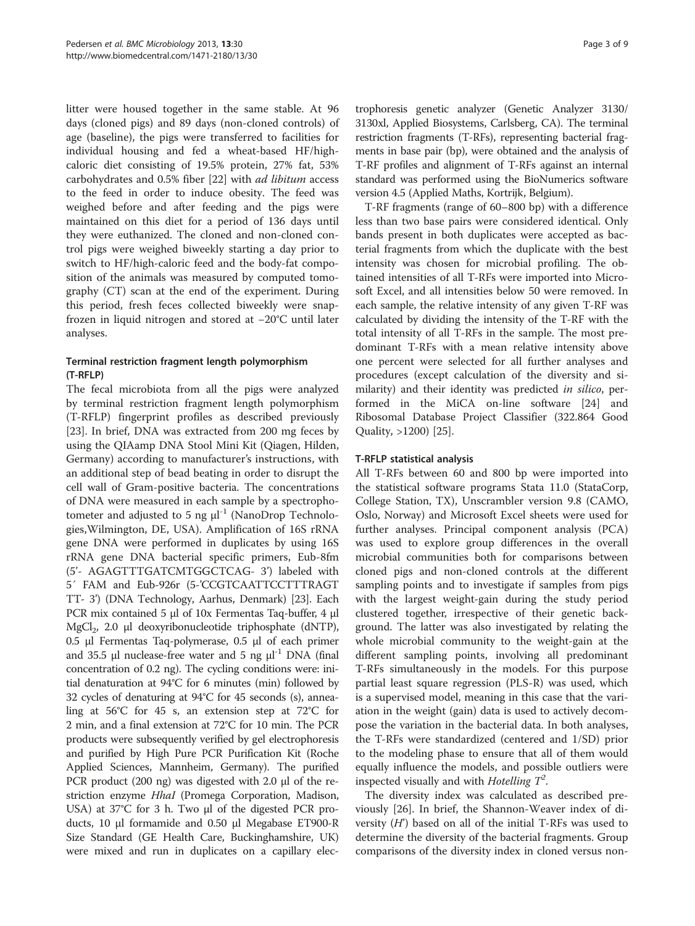litter were housed together in the same stable. At 96 days (cloned pigs) and 89 days (non-cloned controls) of age (baseline), the pigs were transferred to facilities for individual housing and fed a wheat-based HF/highcaloric diet consisting of 19.5% protein, 27% fat, 53% carbohydrates and 0.5% fiber [[22\]](#page-8-0) with ad libitum access to the feed in order to induce obesity. The feed was weighed before and after feeding and the pigs were maintained on this diet for a period of 136 days until they were euthanized. The cloned and non-cloned control pigs were weighed biweekly starting a day prior to switch to HF/high-caloric feed and the body-fat composition of the animals was measured by computed tomography (CT) scan at the end of the experiment. During this period, fresh feces collected biweekly were snapfrozen in liquid nitrogen and stored at −20°C until later analyses.

# Terminal restriction fragment length polymorphism (T-RFLP)

The fecal microbiota from all the pigs were analyzed by terminal restriction fragment length polymorphism (T-RFLP) fingerprint profiles as described previously [[23\]](#page-8-0). In brief, DNA was extracted from 200 mg feces by using the QIAamp DNA Stool Mini Kit (Qiagen, Hilden, Germany) according to manufacturer's instructions, with an additional step of bead beating in order to disrupt the cell wall of Gram-positive bacteria. The concentrations of DNA were measured in each sample by a spectrophotometer and adjusted to 5 ng μl<sup>-1</sup> (NanoDrop Technologies,Wilmington, DE, USA). Amplification of 16S rRNA gene DNA were performed in duplicates by using 16S rRNA gene DNA bacterial specific primers, Eub-8fm (5'- AGAGTTTGATCMTGGCTCAG- 3') labeled with 5´ FAM and Eub-926r (5-'CCGTCAATTCCTTTRAGT TT- 3') (DNA Technology, Aarhus, Denmark) [[23](#page-8-0)]. Each PCR mix contained 5 μl of 10x Fermentas Taq-buffer, 4 μl MgCl<sub>2</sub>, 2.0 μl deoxyribonucleotide triphosphate (dNTP), 0.5 μl Fermentas Taq-polymerase, 0.5 μl of each primer and 35.5  $\mu$ l nuclease-free water and 5 ng  $\mu$ <sup>-1</sup> DNA (final concentration of 0.2 ng). The cycling conditions were: initial denaturation at 94°C for 6 minutes (min) followed by 32 cycles of denaturing at 94°C for 45 seconds (s), annealing at 56°C for 45 s, an extension step at 72°C for 2 min, and a final extension at 72°C for 10 min. The PCR products were subsequently verified by gel electrophoresis and purified by High Pure PCR Purification Kit (Roche Applied Sciences, Mannheim, Germany). The purified PCR product (200 ng) was digested with 2.0 μl of the restriction enzyme *HhaI* (Promega Corporation, Madison, USA) at 37°C for 3 h. Two μl of the digested PCR products, 10 μl formamide and 0.50 μl Megabase ET900-R Size Standard (GE Health Care, Buckinghamshire, UK) were mixed and run in duplicates on a capillary electrophoresis genetic analyzer (Genetic Analyzer 3130/ 3130xl, Applied Biosystems, Carlsberg, CA). The terminal restriction fragments (T-RFs), representing bacterial fragments in base pair (bp), were obtained and the analysis of T-RF profiles and alignment of T-RFs against an internal standard was performed using the BioNumerics software version 4.5 (Applied Maths, Kortrijk, Belgium).

T-RF fragments (range of 60–800 bp) with a difference less than two base pairs were considered identical. Only bands present in both duplicates were accepted as bacterial fragments from which the duplicate with the best intensity was chosen for microbial profiling. The obtained intensities of all T-RFs were imported into Microsoft Excel, and all intensities below 50 were removed. In each sample, the relative intensity of any given T-RF was calculated by dividing the intensity of the T-RF with the total intensity of all T-RFs in the sample. The most predominant T-RFs with a mean relative intensity above one percent were selected for all further analyses and procedures (except calculation of the diversity and similarity) and their identity was predicted in silico, performed in the MiCA on-line software [\[24](#page-8-0)] and Ribosomal Database Project Classifier (322.864 Good Quality, >1200) [\[25\]](#page-8-0).

### T-RFLP statistical analysis

All T-RFs between 60 and 800 bp were imported into the statistical software programs Stata 11.0 (StataCorp, College Station, TX), Unscrambler version 9.8 (CAMO, Oslo, Norway) and Microsoft Excel sheets were used for further analyses. Principal component analysis (PCA) was used to explore group differences in the overall microbial communities both for comparisons between cloned pigs and non-cloned controls at the different sampling points and to investigate if samples from pigs with the largest weight-gain during the study period clustered together, irrespective of their genetic background. The latter was also investigated by relating the whole microbial community to the weight-gain at the different sampling points, involving all predominant T-RFs simultaneously in the models. For this purpose partial least square regression (PLS-R) was used, which is a supervised model, meaning in this case that the variation in the weight (gain) data is used to actively decompose the variation in the bacterial data. In both analyses, the T-RFs were standardized (centered and 1/SD) prior to the modeling phase to ensure that all of them would equally influence the models, and possible outliers were inspected visually and with Hotelling  $T^2$ .

The diversity index was calculated as described previously [\[26\]](#page-8-0). In brief, the Shannon-Weaver index of diversity  $(H')$  based on all of the initial T-RFs was used to determine the diversity of the bacterial fragments. Group comparisons of the diversity index in cloned versus non-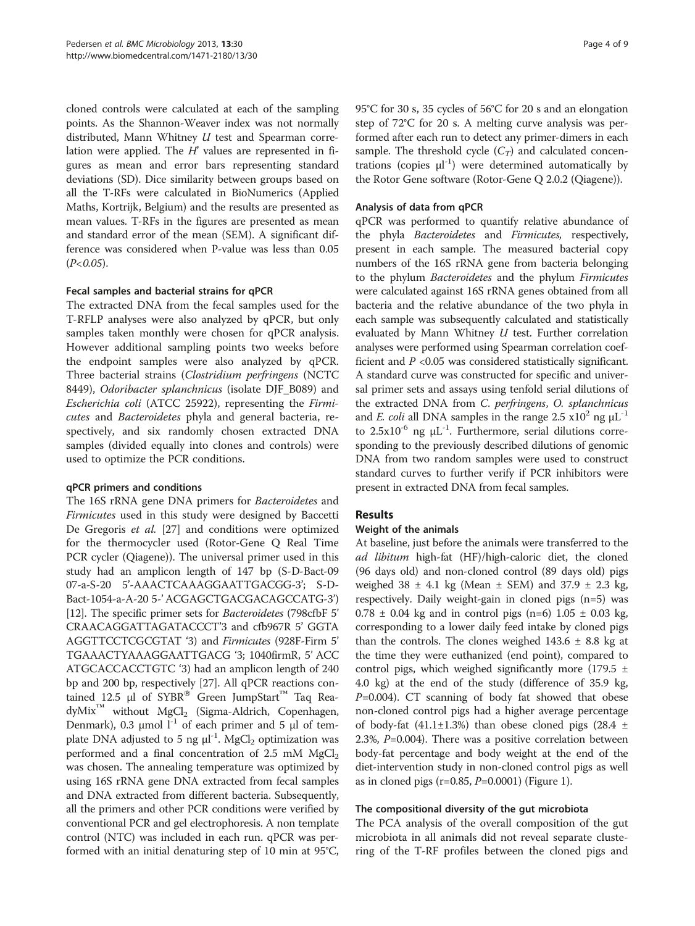cloned controls were calculated at each of the sampling points. As the Shannon-Weaver index was not normally distributed, Mann Whitney  $U$  test and Spearman correlation were applied. The  $H'$  values are represented in figures as mean and error bars representing standard deviations (SD). Dice similarity between groups based on all the T-RFs were calculated in BioNumerics (Applied Maths, Kortrijk, Belgium) and the results are presented as mean values. T-RFs in the figures are presented as mean and standard error of the mean (SEM). A significant difference was considered when P-value was less than 0.05  $(P<0.05)$ .

### Fecal samples and bacterial strains for qPCR

The extracted DNA from the fecal samples used for the T-RFLP analyses were also analyzed by qPCR, but only samples taken monthly were chosen for qPCR analysis. However additional sampling points two weeks before the endpoint samples were also analyzed by qPCR. Three bacterial strains (Clostridium perfringens (NCTC 8449), Odoribacter splanchnicus (isolate DJF B089) and Escherichia coli (ATCC 25922), representing the Firmicutes and Bacteroidetes phyla and general bacteria, respectively, and six randomly chosen extracted DNA samples (divided equally into clones and controls) were used to optimize the PCR conditions.

### qPCR primers and conditions

The 16S rRNA gene DNA primers for Bacteroidetes and Firmicutes used in this study were designed by Baccetti De Gregoris et al. [[27\]](#page-8-0) and conditions were optimized for the thermocycler used (Rotor-Gene Q Real Time PCR cycler (Qiagene)). The universal primer used in this study had an amplicon length of 147 bp (S-D-Bact-09 07-a-S-20 5'-AAACTCAAAGGAATTGACGG-3'; S-D-Bact-1054-a-A-20 5-' ACGAGCTGACGACAGCCATG-3') [[12](#page-8-0)]. The specific primer sets for Bacteroidetes (798cfbF 5' CRAACAGGATTAGATACCCT'3 and cfb967R 5' GGTA AGGTTCCTCGCGTAT '3) and Firmicutes (928F-Firm 5' TGAAACTYAAAGGAATTGACG '3; 1040firmR, 5' ACC ATGCACCACCTGTC '3) had an amplicon length of 240 bp and 200 bp, respectively [[27](#page-8-0)]. All qPCR reactions contained 12.5 μl of  $SYBR^®$  Green JumpStart<sup>™</sup> Taq Rea $dyMix^{\mathsf{TM}}$  without  $MgCl_2$  (Sigma-Aldrich, Copenhagen, Denmark), 0.3 μmol  $l<sup>-1</sup>$  of each primer and 5 μl of template DNA adjusted to 5 ng  $\mu$ l<sup>-1</sup>. MgCl<sub>2</sub> optimization was performed and a final concentration of 2.5 mM  $MgCl<sub>2</sub>$ was chosen. The annealing temperature was optimized by using 16S rRNA gene DNA extracted from fecal samples and DNA extracted from different bacteria. Subsequently, all the primers and other PCR conditions were verified by conventional PCR and gel electrophoresis. A non template control (NTC) was included in each run. qPCR was performed with an initial denaturing step of 10 min at 95°C, 95°C for 30 s, 35 cycles of 56°C for 20 s and an elongation step of 72°C for 20 s. A melting curve analysis was performed after each run to detect any primer-dimers in each sample. The threshold cycle  $(C_T)$  and calculated concentrations (copies  $\mu$ <sup>1</sup>) were determined automatically by the Rotor Gene software (Rotor-Gene Q 2.0.2 (Qiagene)).

#### Analysis of data from qPCR

qPCR was performed to quantify relative abundance of the phyla Bacteroidetes and Firmicutes, respectively, present in each sample. The measured bacterial copy numbers of the 16S rRNA gene from bacteria belonging to the phylum Bacteroidetes and the phylum Firmicutes were calculated against 16S rRNA genes obtained from all bacteria and the relative abundance of the two phyla in each sample was subsequently calculated and statistically evaluated by Mann Whitney  $U$  test. Further correlation analyses were performed using Spearman correlation coefficient and  $P < 0.05$  was considered statistically significant. A standard curve was constructed for specific and universal primer sets and assays using tenfold serial dilutions of the extracted DNA from C. perfringens, O. splanchnicus and *E. coli* all DNA samples in the range 2.5  $\times 10^2$  ng  $\mu L^{-1}$ to  $2.5x10^{-6}$  ng  $\mu L^{-1}$ . Furthermore, serial dilutions corresponding to the previously described dilutions of genomic DNA from two random samples were used to construct standard curves to further verify if PCR inhibitors were present in extracted DNA from fecal samples.

### Results

### Weight of the animals

At baseline, just before the animals were transferred to the ad libitum high-fat (HF)/high-caloric diet, the cloned (96 days old) and non-cloned control (89 days old) pigs weighed  $38 \pm 4.1$  kg (Mean  $\pm$  SEM) and  $37.9 \pm 2.3$  kg, respectively. Daily weight-gain in cloned pigs (n=5) was  $0.78 \pm 0.04$  kg and in control pigs (n=6)  $1.05 \pm 0.03$  kg, corresponding to a lower daily feed intake by cloned pigs than the controls. The clones weighed  $143.6 \pm 8.8$  kg at the time they were euthanized (end point), compared to control pigs, which weighed significantly more (179.5  $\pm$ 4.0 kg) at the end of the study (difference of 35.9 kg,  $P=0.004$ ). CT scanning of body fat showed that obese non-cloned control pigs had a higher average percentage of body-fat  $(41.1 \pm 1.3\%)$  than obese cloned pigs  $(28.4 \pm 1.1\%)$ 2.3%, P=0.004). There was a positive correlation between body-fat percentage and body weight at the end of the diet-intervention study in non-cloned control pigs as well as in cloned pigs (r=0.85, P=0.0001) (Figure [1\)](#page-4-0).

### The compositional diversity of the gut microbiota

The PCA analysis of the overall composition of the gut microbiota in all animals did not reveal separate clustering of the T-RF profiles between the cloned pigs and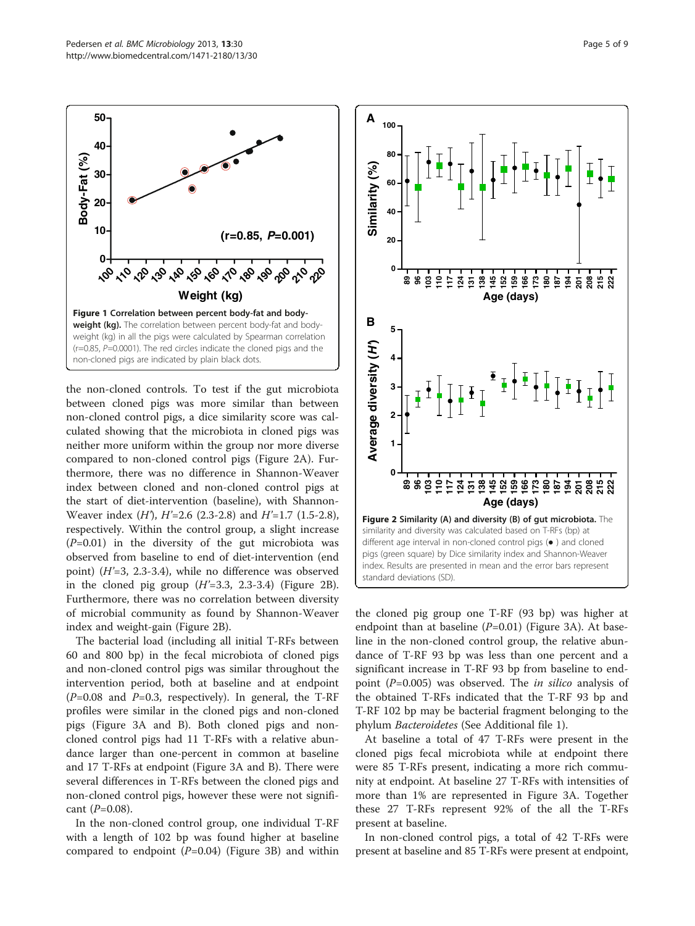the non-cloned controls. To test if the gut microbiota between cloned pigs was more similar than between non-cloned control pigs, a dice similarity score was calculated showing that the microbiota in cloned pigs was neither more uniform within the group nor more diverse compared to non-cloned control pigs (Figure 2A). Furthermore, there was no difference in Shannon-Weaver index between cloned and non-cloned control pigs at the start of diet-intervention (baseline), with Shannon-Weaver index  $(H)$ ,  $H'=2.6$  (2.3-2.8) and  $H'=1.7$  (1.5-2.8), respectively. Within the control group, a slight increase  $(P=0.01)$  in the diversity of the gut microbiota was observed from baseline to end of diet-intervention (end point) (H'=3, 2.3-3.4), while no difference was observed in the cloned pig group  $(H'=3.3, 2.3-3.4)$  (Figure 2B). Furthermore, there was no correlation between diversity of microbial community as found by Shannon-Weaver index and weight-gain (Figure 2B).

The bacterial load (including all initial T-RFs between 60 and 800 bp) in the fecal microbiota of cloned pigs and non-cloned control pigs was similar throughout the intervention period, both at baseline and at endpoint  $(P=0.08$  and  $P=0.3$ , respectively). In general, the T-RF profiles were similar in the cloned pigs and non-cloned pigs (Figure [3A](#page-5-0) and B). Both cloned pigs and noncloned control pigs had 11 T-RFs with a relative abundance larger than one-percent in common at baseline and 17 T-RFs at endpoint (Figure [3A](#page-5-0) and B). There were several differences in T-RFs between the cloned pigs and non-cloned control pigs, however these were not significant  $(P=0.08)$ .

In the non-cloned control group, one individual T-RF with a length of 102 bp was found higher at baseline compared to endpoint  $(P=0.04)$  (Figure [3](#page-5-0)B) and within

the cloned pig group one T-RF (93 bp) was higher at endpoint than at baseline  $(P=0.01)$  (Figure [3](#page-5-0)A). At baseline in the non-cloned control group, the relative abundance of T-RF 93 bp was less than one percent and a significant increase in T-RF 93 bp from baseline to endpoint  $(P=0.005)$  was observed. The *in silico* analysis of the obtained T-RFs indicated that the T-RF 93 bp and T-RF 102 bp may be bacterial fragment belonging to the phylum Bacteroidetes (See Additional file [1\)](#page-7-0).

At baseline a total of 47 T-RFs were present in the cloned pigs fecal microbiota while at endpoint there were 85 T-RFs present, indicating a more rich community at endpoint. At baseline 27 T-RFs with intensities of more than 1% are represented in Figure [3A](#page-5-0). Together these 27 T-RFs represent 92% of the all the T-RFs present at baseline.

In non-cloned control pigs, a total of 42 T-RFs were present at baseline and 85 T-RFs were present at endpoint,

<span id="page-4-0"></span>

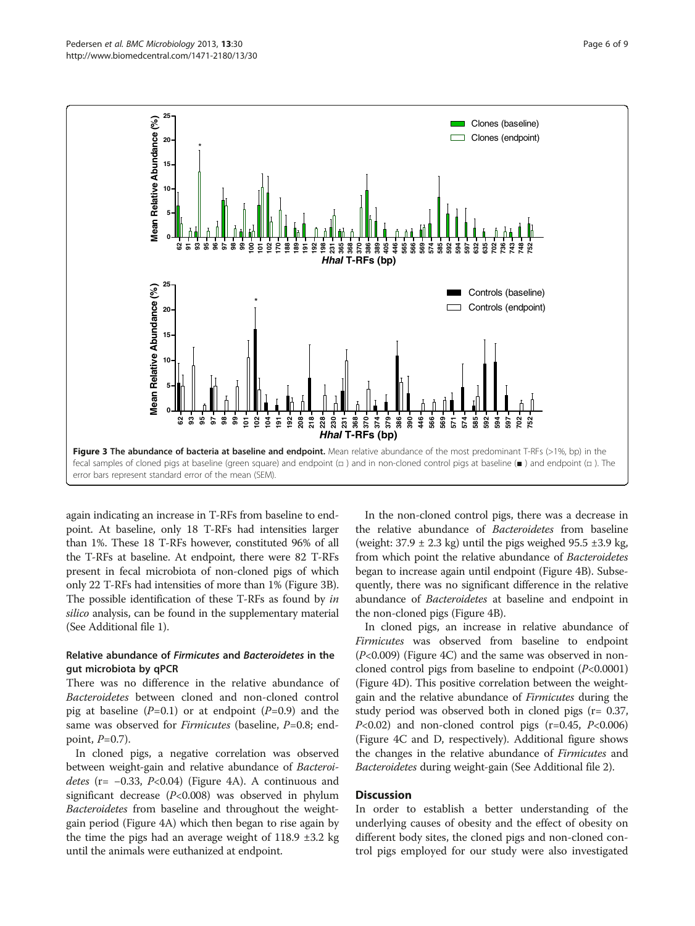again indicating an increase in T-RFs from baseline to endpoint. At baseline, only 18 T-RFs had intensities larger than 1%. These 18 T-RFs however, constituted 96% of all the T-RFs at baseline. At endpoint, there were 82 T-RFs present in fecal microbiota of non-cloned pigs of which only 22 T-RFs had intensities of more than 1% (Figure 3B). The possible identification of these T-RFs as found by in silico analysis, can be found in the supplementary material (See Additional file [1\)](#page-7-0).

# Relative abundance of Firmicutes and Bacteroidetes in the gut microbiota by qPCR

There was no difference in the relative abundance of Bacteroidetes between cloned and non-cloned control pig at baseline  $(P=0.1)$  or at endpoint  $(P=0.9)$  and the same was observed for *Firmicutes* (baseline,  $P=0.8$ ; endpoint,  $P=0.7$ ).

In cloned pigs, a negative correlation was observed between weight-gain and relative abundance of Bacteroidetes (r= −0.33, P<0.04) (Figure [4A](#page-6-0)). A continuous and significant decrease  $(P<0.008)$  was observed in phylum Bacteroidetes from baseline and throughout the weightgain period (Figure [4](#page-6-0)A) which then began to rise again by the time the pigs had an average weight of  $118.9 \pm 3.2$  kg until the animals were euthanized at endpoint.

In the non-cloned control pigs, there was a decrease in the relative abundance of Bacteroidetes from baseline (weight:  $37.9 \pm 2.3$  kg) until the pigs weighed  $95.5 \pm 3.9$  kg, from which point the relative abundance of Bacteroidetes began to increase again until endpoint (Figure [4](#page-6-0)B). Subsequently, there was no significant difference in the relative abundance of Bacteroidetes at baseline and endpoint in the non-cloned pigs (Figure [4B](#page-6-0)).

In cloned pigs, an increase in relative abundance of Firmicutes was observed from baseline to endpoint (P<0.009) (Figure [4](#page-6-0)C) and the same was observed in noncloned control pigs from baseline to endpoint  $(P<0.0001)$ (Figure [4D](#page-6-0)). This positive correlation between the weightgain and the relative abundance of *Firmicutes* during the study period was observed both in cloned pigs (r= 0.37,  $P<0.02$ ) and non-cloned control pigs (r=0.45,  $P<0.006$ ) (Figure [4](#page-6-0)C and D, respectively). Additional figure shows the changes in the relative abundance of Firmicutes and Bacteroidetes during weight-gain (See Additional file [2\)](#page-7-0).

#### **Discussion**

In order to establish a better understanding of the underlying causes of obesity and the effect of obesity on different body sites, the cloned pigs and non-cloned control pigs employed for our study were also investigated

<span id="page-5-0"></span>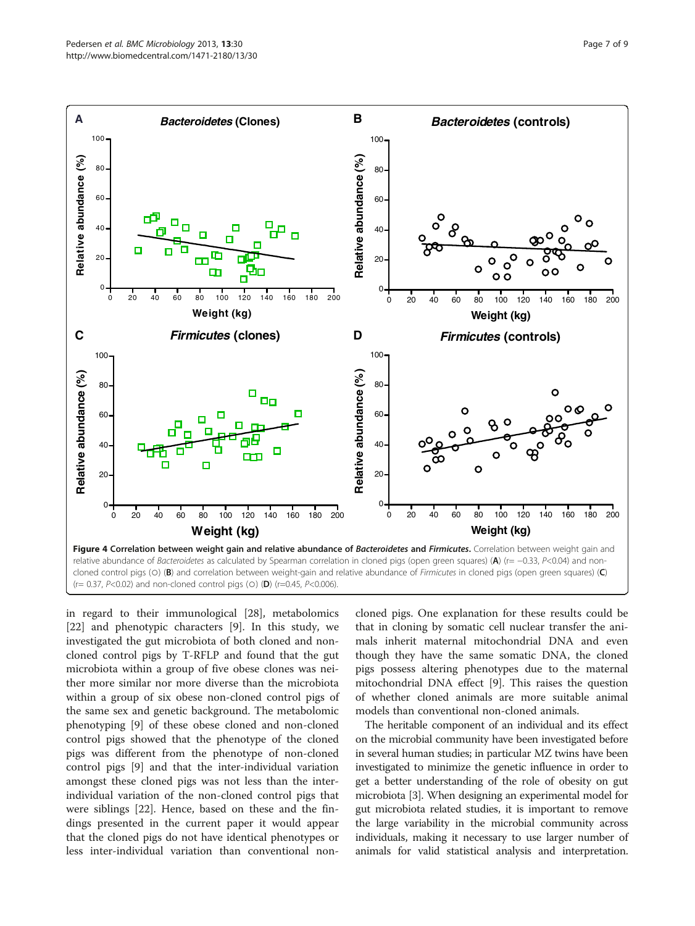<span id="page-6-0"></span>

in regard to their immunological [\[28](#page-8-0)], metabolomics [[22\]](#page-8-0) and phenotypic characters [[9\]](#page-8-0). In this study, we investigated the gut microbiota of both cloned and noncloned control pigs by T-RFLP and found that the gut microbiota within a group of five obese clones was neither more similar nor more diverse than the microbiota within a group of six obese non-cloned control pigs of the same sex and genetic background. The metabolomic phenotyping [\[9](#page-8-0)] of these obese cloned and non-cloned control pigs showed that the phenotype of the cloned pigs was different from the phenotype of non-cloned control pigs [\[9](#page-8-0)] and that the inter-individual variation amongst these cloned pigs was not less than the interindividual variation of the non-cloned control pigs that were siblings [[22](#page-8-0)]. Hence, based on these and the findings presented in the current paper it would appear that the cloned pigs do not have identical phenotypes or less inter-individual variation than conventional non-

cloned pigs. One explanation for these results could be that in cloning by somatic cell nuclear transfer the animals inherit maternal mitochondrial DNA and even though they have the same somatic DNA, the cloned pigs possess altering phenotypes due to the maternal mitochondrial DNA effect [\[9](#page-8-0)]. This raises the question of whether cloned animals are more suitable animal models than conventional non-cloned animals.

The heritable component of an individual and its effect on the microbial community have been investigated before in several human studies; in particular MZ twins have been investigated to minimize the genetic influence in order to get a better understanding of the role of obesity on gut microbiota [\[3](#page-8-0)]. When designing an experimental model for gut microbiota related studies, it is important to remove the large variability in the microbial community across individuals, making it necessary to use larger number of animals for valid statistical analysis and interpretation.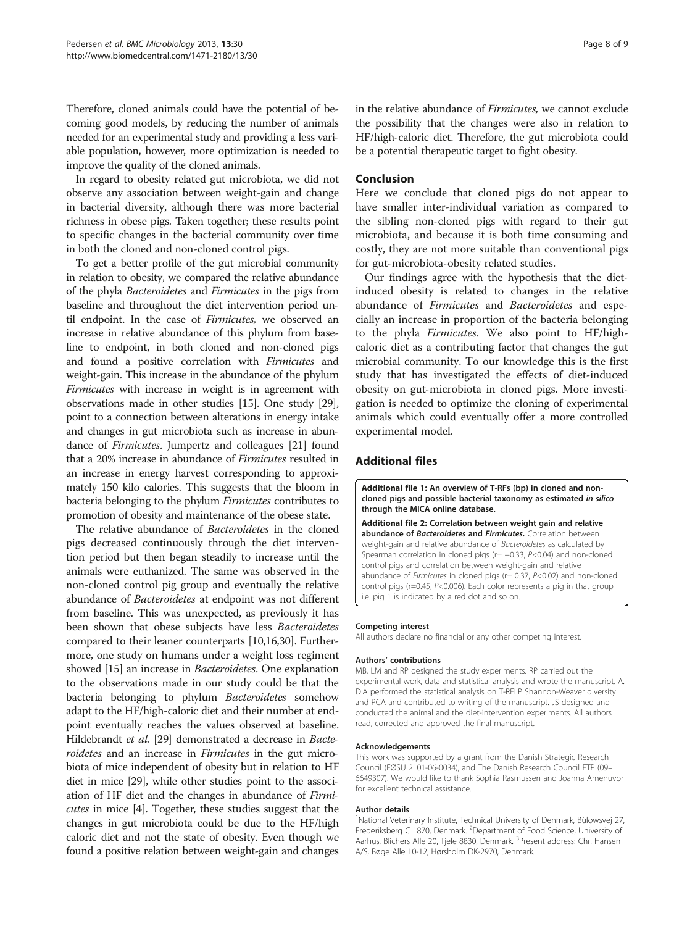<span id="page-7-0"></span>Therefore, cloned animals could have the potential of becoming good models, by reducing the number of animals needed for an experimental study and providing a less variable population, however, more optimization is needed to improve the quality of the cloned animals.

In regard to obesity related gut microbiota, we did not observe any association between weight-gain and change in bacterial diversity, although there was more bacterial richness in obese pigs. Taken together; these results point to specific changes in the bacterial community over time in both the cloned and non-cloned control pigs.

To get a better profile of the gut microbial community in relation to obesity, we compared the relative abundance of the phyla Bacteroidetes and Firmicutes in the pigs from baseline and throughout the diet intervention period until endpoint. In the case of Firmicutes, we observed an increase in relative abundance of this phylum from baseline to endpoint, in both cloned and non-cloned pigs and found a positive correlation with Firmicutes and weight-gain. This increase in the abundance of the phylum Firmicutes with increase in weight is in agreement with observations made in other studies [[15](#page-8-0)]. One study [[29](#page-8-0)], point to a connection between alterations in energy intake and changes in gut microbiota such as increase in abundance of Firmicutes. Jumpertz and colleagues [\[21\]](#page-8-0) found that a 20% increase in abundance of Firmicutes resulted in an increase in energy harvest corresponding to approximately 150 kilo calories. This suggests that the bloom in bacteria belonging to the phylum Firmicutes contributes to promotion of obesity and maintenance of the obese state.

The relative abundance of Bacteroidetes in the cloned pigs decreased continuously through the diet intervention period but then began steadily to increase until the animals were euthanized. The same was observed in the non-cloned control pig group and eventually the relative abundance of Bacteroidetes at endpoint was not different from baseline. This was unexpected, as previously it has been shown that obese subjects have less Bacteroidetes compared to their leaner counterparts [\[10,16,30](#page-8-0)]. Furthermore, one study on humans under a weight loss regiment showed [[15](#page-8-0)] an increase in Bacteroidetes. One explanation to the observations made in our study could be that the bacteria belonging to phylum Bacteroidetes somehow adapt to the HF/high-caloric diet and their number at endpoint eventually reaches the values observed at baseline. Hildebrandt et al. [[29](#page-8-0)] demonstrated a decrease in Bacteroidetes and an increase in Firmicutes in the gut microbiota of mice independent of obesity but in relation to HF diet in mice [\[29](#page-8-0)], while other studies point to the association of HF diet and the changes in abundance of Firmicutes in mice [[4\]](#page-8-0). Together, these studies suggest that the changes in gut microbiota could be due to the HF/high caloric diet and not the state of obesity. Even though we found a positive relation between weight-gain and changes

in the relative abundance of Firmicutes, we cannot exclude the possibility that the changes were also in relation to HF/high-caloric diet. Therefore, the gut microbiota could be a potential therapeutic target to fight obesity.

#### Conclusion

Here we conclude that cloned pigs do not appear to have smaller inter-individual variation as compared to the sibling non-cloned pigs with regard to their gut microbiota, and because it is both time consuming and costly, they are not more suitable than conventional pigs for gut-microbiota-obesity related studies.

Our findings agree with the hypothesis that the dietinduced obesity is related to changes in the relative abundance of Firmicutes and Bacteroidetes and especially an increase in proportion of the bacteria belonging to the phyla Firmicutes. We also point to HF/highcaloric diet as a contributing factor that changes the gut microbial community. To our knowledge this is the first study that has investigated the effects of diet-induced obesity on gut-microbiota in cloned pigs. More investigation is needed to optimize the cloning of experimental animals which could eventually offer a more controlled experimental model.

#### Additional files

[Additional file 1:](http://www.biomedcentral.com/content/supplementary/1471-2180-13-30-S1.docx) An overview of T-RFs (bp) in cloned and noncloned pigs and possible bacterial taxonomy as estimated in silico through the MICA online database.

[Additional file 2:](http://www.biomedcentral.com/content/supplementary/1471-2180-13-30-S2.pdf) Correlation between weight gain and relative abundance of Bacteroidetes and Firmicutes. Correlation between weight-gain and relative abundance of Bacteroidetes as calculated by Spearman correlation in cloned pigs (r= -0.33, P<0.04) and non-cloned control pigs and correlation between weight-gain and relative abundance of Firmicutes in cloned pigs (r= 0.37, P<0.02) and non-cloned control pigs (r=0.45, P<0.006). Each color represents a pig in that group i.e. pig 1 is indicated by a red dot and so on.

#### Competing interest

All authors declare no financial or any other competing interest.

#### Authors' contributions

MB, LM and RP designed the study experiments. RP carried out the experimental work, data and statistical analysis and wrote the manuscript. A. D.A performed the statistical analysis on T-RFLP Shannon-Weaver diversity and PCA and contributed to writing of the manuscript. JS designed and conducted the animal and the diet-intervention experiments. All authors read, corrected and approved the final manuscript.

#### Acknowledgements

This work was supported by a grant from the Danish Strategic Research Council (FØSU 2101-06-0034), and The Danish Research Council FTP (09– 6649307). We would like to thank Sophia Rasmussen and Joanna Amenuvor for excellent technical assistance.

#### Author details

<sup>1</sup>National Veterinary Institute, Technical University of Denmark, Bülowsvej 27 Frederiksberg C 1870, Denmark. <sup>2</sup>Department of Food Science, University of Aarhus, Blichers Alle 20, Tjele 8830, Denmark. <sup>3</sup>Present address: Chr. Hansen A/S, Bøge Alle 10-12, Hørsholm DK-2970, Denmark.